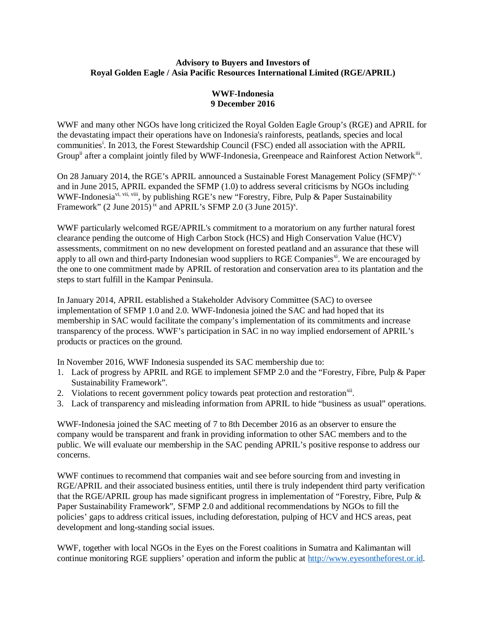## **Advisory to Buyers and Investors of Royal Golden Eagle / Asia Pacific Resources International Limited (RGE/APRIL)**

## **WWF-Indonesia 9 December 2016**

WWF and many other NGOs have long criticized the Royal Golden Eagle Group's (RGE) and APRIL for the devastating impact their operations have on Indonesia's rainforests, peatlands, species and local communities<sup>i</sup>. In 2013, the Forest Stewardship Council (FSC) ended all association with the APRIL Group<sup>ii</sup> after a complaint jointly filed by WWF-Indonesia, Greenpeace and Rainforest Action Network<sup>iii</sup>.

On 28 January 2014, the RGE's APRIL announced a Sustainable Forest Management Policy (SFMP)<sup>iv, v</sup> and in June 2015, APRIL expanded the SFMP (1.0) to address several criticisms by NGOs including WWF-Indonesia<sup>vi, vii, viii</sup>, by publishing RGE's new "Forestry, Fibre, Pulp & Paper Sustainability Framework"  $(2 \text{ June } 2015)^{ix}$  and APRIL's SFMP 2.0  $(3 \text{ June } 2015)^{x}$ .

WWF particularly welcomed RGE/APRIL's commitment to a moratorium on any further natural forest clearance pending the outcome of High Carbon Stock (HCS) and High Conservation Value (HCV) assessments, commitment on no new development on forested peatland and an assurance that these will apply to all own and third-party Indonesian wood suppliers to RGE Companies<sup>xi</sup>. We are encouraged by the one to one commitment made by APRIL of restoration and conservation area to its plantation and the steps to start fulfill in the Kampar Peninsula.

In January 2014, APRIL established a Stakeholder Advisory Committee (SAC) to oversee implementation of SFMP 1.0 and 2.0. WWF-Indonesia joined the SAC and had hoped that its membership in SAC would facilitate the company's implementation of its commitments and increase transparency of the process. WWF's participation in SAC in no way implied endorsement of APRIL's products or practices on the ground.

In November 2016, WWF Indonesia suspended its SAC membership due to:

- 1. Lack of progress by APRIL and RGE to implement SFMP 2.0 and the "Forestry, Fibre, Pulp & Paper Sustainability Framework".
- 2. Violations to recent government policy towards peat protection and restoration<sup>xii</sup>.
- 3. Lack of transparency and misleading information from APRIL to hide "business as usual" operations.

WWF-Indonesia joined the SAC meeting of 7 to 8th December 2016 as an observer to ensure the company would be transparent and frank in providing information to other SAC members and to the public. We will evaluate our membership in the SAC pending APRIL's positive response to address our concerns.

WWF continues to recommend that companies wait and see before sourcing from and investing in RGE/APRIL and their associated business entities, until there is truly independent third party verification that the RGE/APRIL group has made significant progress in implementation of "Forestry, Fibre, Pulp & Paper Sustainability Framework", SFMP 2.0 and additional recommendations by NGOs to fill the policies' gaps to address critical issues, including deforestation, pulping of HCV and HCS areas, peat development and long-standing social issues.

WWF, together with local NGOs in the Eyes on the Forest coalitions in Sumatra and Kalimantan will continue monitoring RGE suppliers' operation and inform the public at http://www.eyesontheforest.or.id.